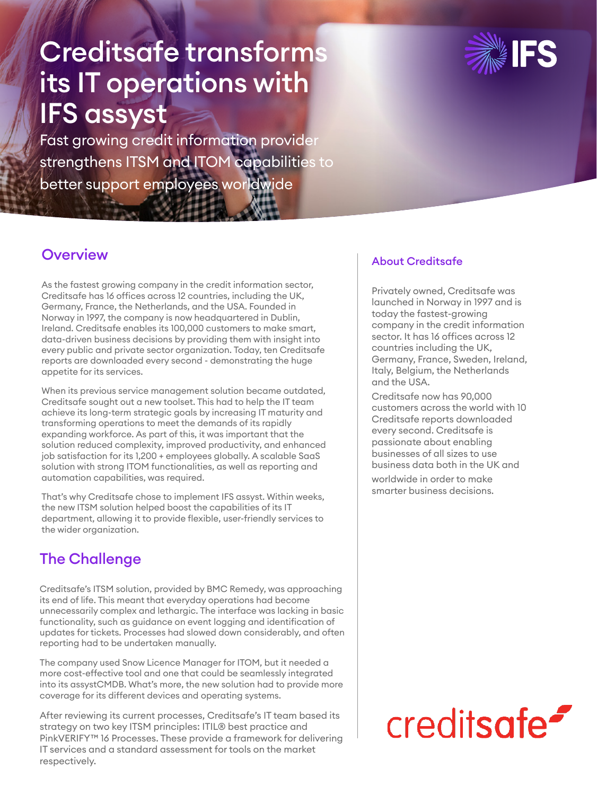# Creditsafe transforms its IT operations with IFS assyst

Fast growing credit information provider strengthens ITSM and ITOM capabilities to better support employees worldwide



### **Overview**

As the fastest growing company in the credit information sector, Creditsafe has 16 offices across 12 countries, including the UK, Germany, France, the Netherlands, and the USA. Founded in Norway in 1997, the company is now headquartered in Dublin, Ireland. Creditsafe enables its 100,000 customers to make smart, data-driven business decisions by providing them with insight into every public and private sector organization. Today, ten Creditsafe reports are downloaded every second - demonstrating the huge appetite for its services.

When its previous service management solution became outdated, Creditsafe sought out a new toolset. This had to help the IT team achieve its long-term strategic goals by increasing IT maturity and transforming operations to meet the demands of its rapidly expanding workforce. As part of this, it was important that the solution reduced complexity, improved productivity, and enhanced job satisfaction for its 1,200 + employees globally. A scalable SaaS solution with strong ITOM functionalities, as well as reporting and automation capabilities, was required.

That's why Creditsafe chose to implement IFS assyst. Within weeks, the new ITSM solution helped boost the capabilities of its IT department, allowing it to provide flexible, user-friendly services to the wider organization.

# The Challenge

Creditsafe's ITSM solution, provided by BMC Remedy, was approaching its end of life. This meant that everyday operations had become unnecessarily complex and lethargic. The interface was lacking in basic functionality, such as guidance on event logging and identification of updates for tickets. Processes had slowed down considerably, and often reporting had to be undertaken manually.

The company used Snow Licence Manager for ITOM, but it needed a more cost-effective tool and one that could be seamlessly integrated into its assystCMDB. What's more, the new solution had to provide more coverage for its different devices and operating systems.

After reviewing its current processes, Creditsafe's IT team based its strategy on two key ITSM principles: ITIL® best practice and PinkVERIFY™ 16 Processes. These provide a framework for delivering IT services and a standard assessment for tools on the market respectively.

### About Creditsafe

Privately owned, Creditsafe was launched in Norway in 1997 and is today the fastest-growing company in the credit information sector. It has 16 offices across 12 countries including the UK, Germany, France, Sweden, Ireland, Italy, Belgium, the Netherlands and the USA.

Creditsafe now has 90,000 customers across the world with 10 Creditsafe reports downloaded every second. Creditsafe is passionate about enabling businesses of all sizes to use business data both in the UK and worldwide in order to make smarter business decisions.